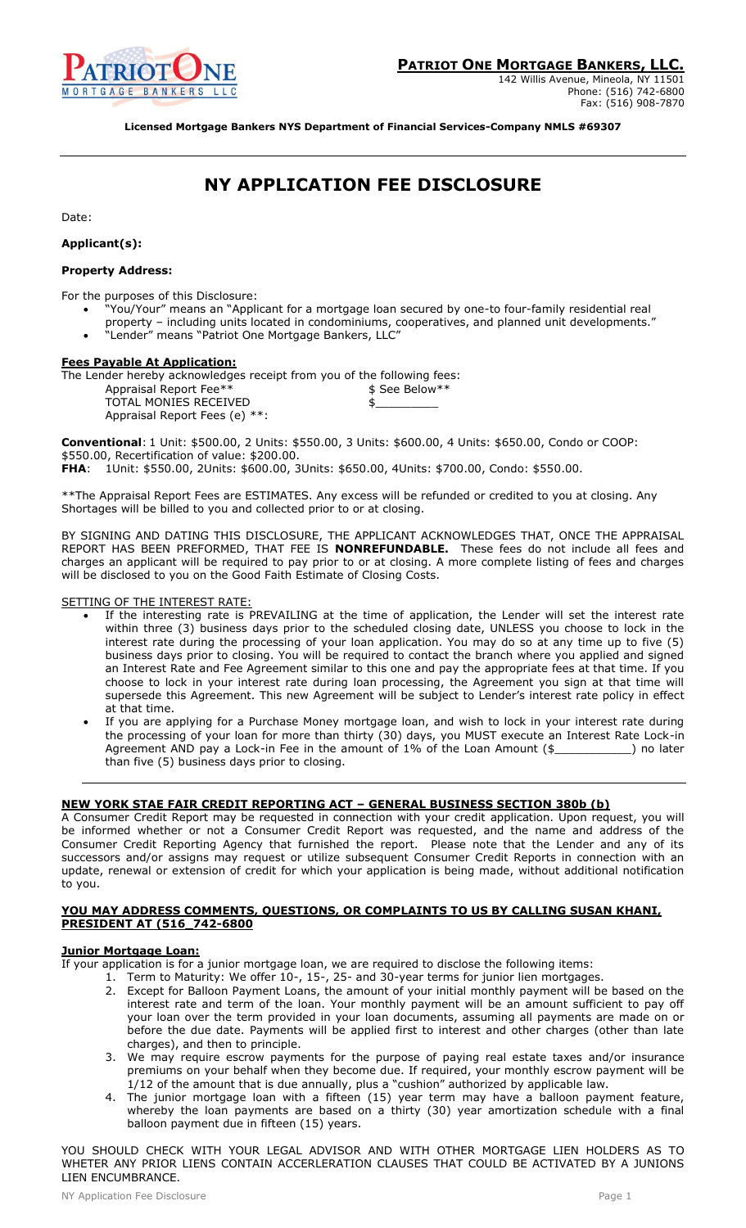

142 Willis Avenue, Mineola, NY 11501 Phone: (516) 742-6800 Fax: (516) 908-7870

**Licensed Mortgage Bankers NYS Department of Financial Services-Company NMLS #69307**

# **NY APPLICATION FEE DISCLOSURE**

Date:

# **Applicant(s):**

# **Property Address:**

For the purposes of this Disclosure:

- "You/Your" means an "Applicant for a mortgage loan secured by one-to four-family residential real property – including units located in condominiums, cooperatives, and planned unit developments."
- "Lender" means "Patriot One Mortgage Bankers, LLC"

## **Fees Payable At Application:**

The Lender hereby acknowledges receipt from you of the following fees:

| Appraisal Report Fee**        | \$ See Below** |
|-------------------------------|----------------|
| TOTAL MONIES RECEIVED         |                |
| Appraisal Report Fees (e) **: |                |

**Conventional**: 1 Unit: \$500.00, 2 Units: \$550.00, 3 Units: \$600.00, 4 Units: \$650.00, Condo or COOP: \$550.00, Recertification of value: \$200.00.

**FHA**: 1Unit: \$550.00, 2Units: \$600.00, 3Units: \$650.00, 4Units: \$700.00, Condo: \$550.00.

\*\*The Appraisal Report Fees are ESTIMATES. Any excess will be refunded or credited to you at closing. Any Shortages will be billed to you and collected prior to or at closing.

BY SIGNING AND DATING THIS DISCLOSURE, THE APPLICANT ACKNOWLEDGES THAT, ONCE THE APPRAISAL REPORT HAS BEEN PREFORMED, THAT FEE IS **NONREFUNDABLE.** These fees do not include all fees and charges an applicant will be required to pay prior to or at closing. A more complete listing of fees and charges will be disclosed to you on the Good Faith Estimate of Closing Costs.

SETTING OF THE INTEREST RATE:

- If the interesting rate is PREVAILING at the time of application, the Lender will set the interest rate within three (3) business days prior to the scheduled closing date, UNLESS you choose to lock in the interest rate during the processing of your loan application. You may do so at any time up to five (5) business days prior to closing. You will be required to contact the branch where you applied and signed an Interest Rate and Fee Agreement similar to this one and pay the appropriate fees at that time. If you choose to lock in your interest rate during loan processing, the Agreement you sign at that time will supersede this Agreement. This new Agreement will be subject to Lender's interest rate policy in effect at that time.
- If you are applying for a Purchase Money mortgage loan, and wish to lock in your interest rate during the processing of your loan for more than thirty (30) days, you MUST execute an Interest Rate Lock-in Agreement AND pay a Lock-in Fee in the amount of 1% of the Loan Amount (\$\_\_\_\_\_\_\_\_\_\_\_\_) no later than five (5) business days prior to closing.

# **NEW YORK STAE FAIR CREDIT REPORTING ACT – GENERAL BUSINESS SECTION 380b (b)**

A Consumer Credit Report may be requested in connection with your credit application. Upon request, you will be informed whether or not a Consumer Credit Report was requested, and the name and address of the Consumer Credit Reporting Agency that furnished the report. Please note that the Lender and any of its successors and/or assigns may request or utilize subsequent Consumer Credit Reports in connection with an update, renewal or extension of credit for which your application is being made, without additional notification to you.

#### **YOU MAY ADDRESS COMMENTS, QUESTIONS, OR COMPLAINTS TO US BY CALLING SUSAN KHANI, PRESIDENT AT (516\_742-6800**

## **Junior Mortgage Loan:**

If your application is for a junior mortgage loan, we are required to disclose the following items:

- 1. Term to Maturity: We offer 10-, 15-, 25- and 30-year terms for junior lien mortgages.
- 2. Except for Balloon Payment Loans, the amount of your initial monthly payment will be based on the interest rate and term of the loan. Your monthly payment will be an amount sufficient to pay off your loan over the term provided in your loan documents, assuming all payments are made on or before the due date. Payments will be applied first to interest and other charges (other than late charges), and then to principle.
- 3. We may require escrow payments for the purpose of paying real estate taxes and/or insurance premiums on your behalf when they become due. If required, your monthly escrow payment will be 1/12 of the amount that is due annually, plus a "cushion" authorized by applicable law.
- 4. The junior mortgage loan with a fifteen (15) year term may have a balloon payment feature, whereby the loan payments are based on a thirty (30) year amortization schedule with a final balloon payment due in fifteen (15) years.

YOU SHOULD CHECK WITH YOUR LEGAL ADVISOR AND WITH OTHER MORTGAGE LIEN HOLDERS AS TO WHETER ANY PRIOR LIENS CONTAIN ACCERLERATION CLAUSES THAT COULD BE ACTIVATED BY A JUNIONS LIEN ENCUMBRANCE.